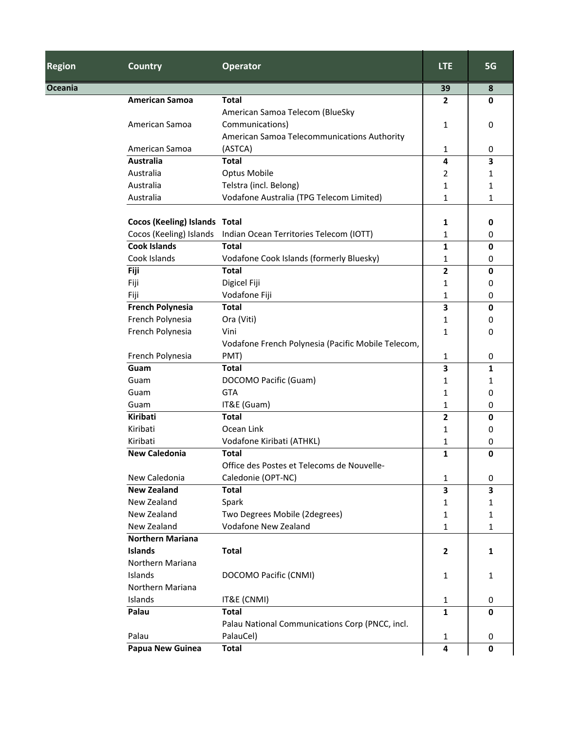| <b>Region</b> | <b>Country</b>                | <b>Operator</b>                                                 | <b>LTE</b>     | 5G                      |
|---------------|-------------------------------|-----------------------------------------------------------------|----------------|-------------------------|
| Oceania       |                               |                                                                 | 39             | 8                       |
|               | <b>American Samoa</b>         | <b>Total</b>                                                    | $\overline{2}$ | 0                       |
|               |                               | American Samoa Telecom (BlueSky                                 |                |                         |
|               | American Samoa                | Communications)                                                 | 1              | 0                       |
|               |                               | American Samoa Telecommunications Authority                     |                |                         |
|               | American Samoa                | (ASTCA)                                                         | 1              | 0                       |
|               | Australia                     | <b>Total</b>                                                    | 4              | $\overline{\mathbf{3}}$ |
|               | Australia                     | Optus Mobile                                                    | 2              | 1                       |
|               | Australia                     | Telstra (incl. Belong)                                          | 1              | 1                       |
|               | Australia                     | Vodafone Australia (TPG Telecom Limited)                        | 1              | 1                       |
|               |                               |                                                                 |                |                         |
|               | Cocos (Keeling) Islands Total |                                                                 | 1              | 0                       |
|               |                               | Cocos (Keeling) Islands Indian Ocean Territories Telecom (IOTT) | 1              | 0                       |
|               | <b>Cook Islands</b>           | <b>Total</b>                                                    | 1              | 0                       |
|               | Cook Islands                  | Vodafone Cook Islands (formerly Bluesky)                        | 1              | 0                       |
|               | Fiji                          | <b>Total</b>                                                    | $\mathbf{2}$   | 0                       |
|               | Fiji                          | Digicel Fiji                                                    | 1              | 0                       |
|               | Fiji                          | Vodafone Fiji                                                   | 1              | 0                       |
|               | <b>French Polynesia</b>       | <b>Total</b>                                                    | 3              | 0                       |
|               | French Polynesia              | Ora (Viti)                                                      | 1              | 0                       |
|               | French Polynesia              | Vini                                                            |                |                         |
|               |                               |                                                                 | 1              | 0                       |
|               |                               | Vodafone French Polynesia (Pacific Mobile Telecom,              |                |                         |
|               | French Polynesia              | PMT)                                                            | 1              | 0                       |
|               | Guam                          | <b>Total</b>                                                    | 3              | 1                       |
|               | Guam                          | DOCOMO Pacific (Guam)                                           | 1              | 1                       |
|               | Guam                          | <b>GTA</b>                                                      | 1              | 0                       |
|               | Guam                          | IT&E (Guam)                                                     | 1              | 0                       |
|               | Kiribati                      | <b>Total</b>                                                    | $\overline{2}$ | 0                       |
|               | Kiribati                      | Ocean Link                                                      | 1              | 0                       |
|               | Kiribati                      | Vodafone Kiribati (ATHKL)                                       | 1              | 0                       |
|               | <b>New Caledonia</b>          | <b>Total</b>                                                    | $\mathbf{1}$   | $\mathbf{0}$            |
|               |                               | Office des Postes et Telecoms de Nouvelle-                      |                |                         |
|               | New Caledonia                 | Caledonie (OPT-NC)                                              | 1              | $\pmb{0}$               |
|               | <b>New Zealand</b>            | <b>Total</b>                                                    | 3              | 3                       |
|               | New Zealand                   | Spark                                                           | 1              | 1                       |
|               | New Zealand                   | Two Degrees Mobile (2degrees)                                   | 1              | 1                       |
|               | New Zealand                   | Vodafone New Zealand                                            | 1              | $\mathbf{1}$            |
|               | <b>Northern Mariana</b>       |                                                                 |                |                         |
|               | Islands                       | <b>Total</b>                                                    | 2              | 1                       |
|               | Northern Mariana              |                                                                 |                |                         |
|               | Islands                       | DOCOMO Pacific (CNMI)                                           | 1              | 1                       |
|               | Northern Mariana              |                                                                 |                |                         |
|               | Islands                       | IT&E (CNMI)                                                     | 1              | 0                       |
|               | Palau                         | <b>Total</b>                                                    | 1              | 0                       |
|               |                               | Palau National Communications Corp (PNCC, incl.                 |                |                         |
|               | Palau                         | PalauCel)                                                       | 1              | 0                       |
|               | Papua New Guinea              | <b>Total</b>                                                    | $\pmb{4}$      | 0                       |
|               |                               |                                                                 |                |                         |